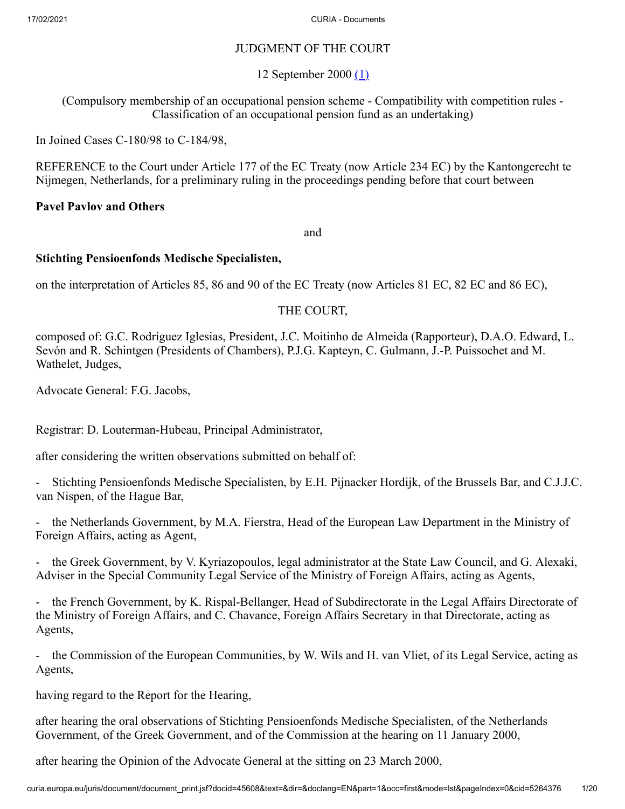# JUDGMENT OF THE COURT

<span id="page-0-0"></span>12 September 2000 [\(1\)](#page-19-0)

(Compulsory membership of an occupational pension scheme - Compatibility with competition rules - Classification of an occupational pension fund as an undertaking)

In Joined Cases C-180/98 to C-184/98,

REFERENCE to the Court under Article 177 of the EC Treaty (now Article 234 EC) by the Kantongerecht te Nijmegen, Netherlands, for a preliminary ruling in the proceedings pending before that court between

## **Pavel Pavlov and Others**

and

### **Stichting Pensioenfonds Medische Specialisten,**

on the interpretation of Articles 85, 86 and 90 of the EC Treaty (now Articles 81 EC, 82 EC and 86 EC),

## THE COURT,

composed of: G.C. Rodríguez Iglesias, President, J.C. Moitinho de Almeida (Rapporteur), D.A.O. Edward, L. Sevón and R. Schintgen (Presidents of Chambers), P.J.G. Kapteyn, C. Gulmann, J.-P. Puissochet and M. Wathelet, Judges,

Advocate General: F.G. Jacobs,

Registrar: D. Louterman-Hubeau, Principal Administrator,

after considering the written observations submitted on behalf of:

- Stichting Pensioenfonds Medische Specialisten, by E.H. Pijnacker Hordijk, of the Brussels Bar, and C.J.J.C. van Nispen, of the Hague Bar,

- the Netherlands Government, by M.A. Fierstra, Head of the European Law Department in the Ministry of Foreign Affairs, acting as Agent,

- the Greek Government, by V. Kyriazopoulos, legal administrator at the State Law Council, and G. Alexaki, Adviser in the Special Community Legal Service of the Ministry of Foreign Affairs, acting as Agents,

- the French Government, by K. Rispal-Bellanger, Head of Subdirectorate in the Legal Affairs Directorate of the Ministry of Foreign Affairs, and C. Chavance, Foreign Affairs Secretary in that Directorate, acting as Agents,

- the Commission of the European Communities, by W. Wils and H. van Vliet, of its Legal Service, acting as Agents,

having regard to the Report for the Hearing,

after hearing the oral observations of Stichting Pensioenfonds Medische Specialisten, of the Netherlands Government, of the Greek Government, and of the Commission at the hearing on 11 January 2000,

after hearing the Opinion of the Advocate General at the sitting on 23 March 2000,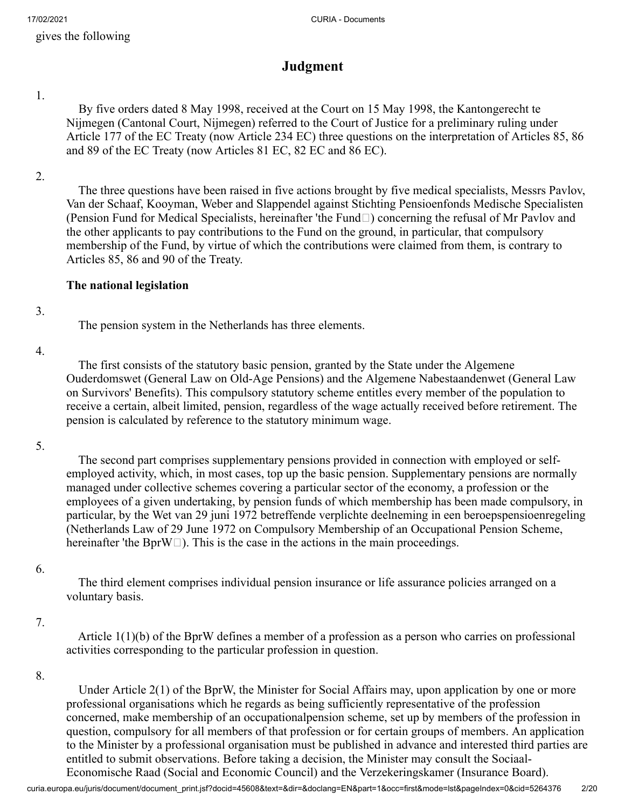gives the following

# **Judgment**

1.

 By five orders dated 8 May 1998, received at the Court on 15 May 1998, the Kantongerecht te Nijmegen (Cantonal Court, Nijmegen) referred to the Court of Justice for a preliminary ruling under Article 177 of the EC Treaty (now Article 234 EC) three questions on the interpretation of Articles 85, 86 and 89 of the EC Treaty (now Articles 81 EC, 82 EC and 86 EC).

2.

 The three questions have been raised in five actions brought by five medical specialists, Messrs Pavlov, Van der Schaaf, Kooyman, Weber and Slappendel against Stichting Pensioenfonds Medische Specialisten (Pension Fund for Medical Specialists, hereinafter 'the Fund $\Box$ ) concerning the refusal of Mr Pavlov and the other applicants to pay contributions to the Fund on the ground, in particular, that compulsory membership of the Fund, by virtue of which the contributions were claimed from them, is contrary to Articles 85, 86 and 90 of the Treaty.

## **The national legislation**

### 3.

The pension system in the Netherlands has three elements.

### 4.

 The first consists of the statutory basic pension, granted by the State under the Algemene Ouderdomswet (General Law on Old-Age Pensions) and the Algemene Nabestaandenwet (General Law on Survivors' Benefits). This compulsory statutory scheme entitles every member of the population to receive a certain, albeit limited, pension, regardless of the wage actually received before retirement. The pension is calculated by reference to the statutory minimum wage.

### 5.

 The second part comprises supplementary pensions provided in connection with employed or selfemployed activity, which, in most cases, top up the basic pension. Supplementary pensions are normally managed under collective schemes covering a particular sector of the economy, a profession or the employees of a given undertaking, by pension funds of which membership has been made compulsory, in particular, by the Wet van 29 juni 1972 betreffende verplichte deelneming in een beroepspensioenregeling (Netherlands Law of 29 June 1972 on Compulsory Membership of an Occupational Pension Scheme, hereinafter 'the BprW $\square$ ). This is the case in the actions in the main proceedings.

### 6.

 The third element comprises individual pension insurance or life assurance policies arranged on a voluntary basis.

## 7.

 Article 1(1)(b) of the BprW defines a member of a profession as a person who carries on professional activities corresponding to the particular profession in question.

### 8.

 Under Article 2(1) of the BprW, the Minister for Social Affairs may, upon application by one or more professional organisations which he regards as being sufficiently representative of the profession concerned, make membership of an occupationalpension scheme, set up by members of the profession in question, compulsory for all members of that profession or for certain groups of members. An application to the Minister by a professional organisation must be published in advance and interested third parties are entitled to submit observations. Before taking a decision, the Minister may consult the Sociaal-Economische Raad (Social and Economic Council) and the Verzekeringskamer (Insurance Board).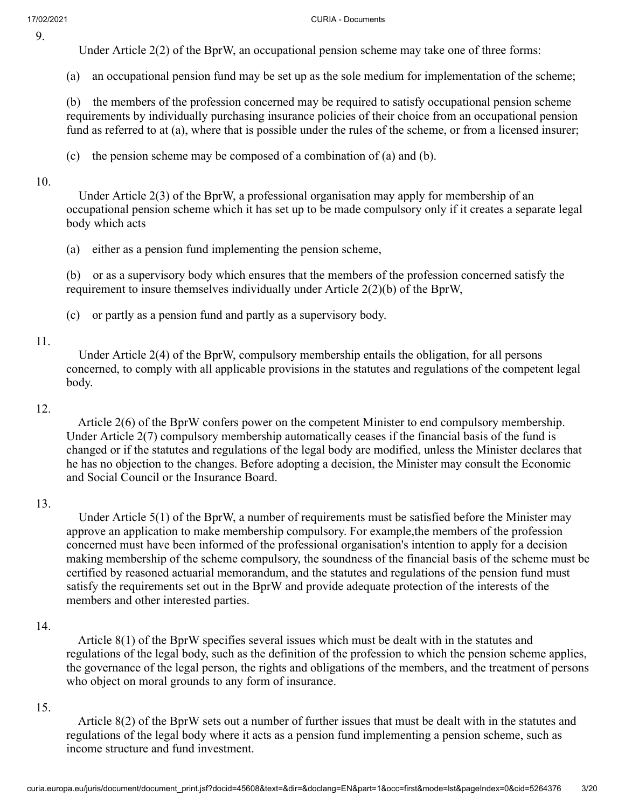#### 17/02/2021 CURIA - Documents

Under Article 2(2) of the BprW, an occupational pension scheme may take one of three forms:

(a) an occupational pension fund may be set up as the sole medium for implementation of the scheme;

(b) the members of the profession concerned may be required to satisfy occupational pension scheme requirements by individually purchasing insurance policies of their choice from an occupational pension fund as referred to at (a), where that is possible under the rules of the scheme, or from a licensed insurer;

(c) the pension scheme may be composed of a combination of (a) and (b).

### 10.

 Under Article 2(3) of the BprW, a professional organisation may apply for membership of an occupational pension scheme which it has set up to be made compulsory only if it creates a separate legal body which acts

(a) either as a pension fund implementing the pension scheme,

(b) or as a supervisory body which ensures that the members of the profession concerned satisfy the requirement to insure themselves individually under Article 2(2)(b) of the BprW,

(c) or partly as a pension fund and partly as a supervisory body.

### 11.

 Under Article 2(4) of the BprW, compulsory membership entails the obligation, for all persons concerned, to comply with all applicable provisions in the statutes and regulations of the competent legal body.

### 12.

 Article 2(6) of the BprW confers power on the competent Minister to end compulsory membership. Under Article 2(7) compulsory membership automatically ceases if the financial basis of the fund is changed or if the statutes and regulations of the legal body are modified, unless the Minister declares that he has no objection to the changes. Before adopting a decision, the Minister may consult the Economic and Social Council or the Insurance Board.

### 13.

 Under Article 5(1) of the BprW, a number of requirements must be satisfied before the Minister may approve an application to make membership compulsory. For example,the members of the profession concerned must have been informed of the professional organisation's intention to apply for a decision making membership of the scheme compulsory, the soundness of the financial basis of the scheme must be certified by reasoned actuarial memorandum, and the statutes and regulations of the pension fund must satisfy the requirements set out in the BprW and provide adequate protection of the interests of the members and other interested parties.

### 14.

 Article 8(1) of the BprW specifies several issues which must be dealt with in the statutes and regulations of the legal body, such as the definition of the profession to which the pension scheme applies, the governance of the legal person, the rights and obligations of the members, and the treatment of persons who object on moral grounds to any form of insurance.

### 15.

 Article 8(2) of the BprW sets out a number of further issues that must be dealt with in the statutes and regulations of the legal body where it acts as a pension fund implementing a pension scheme, such as income structure and fund investment.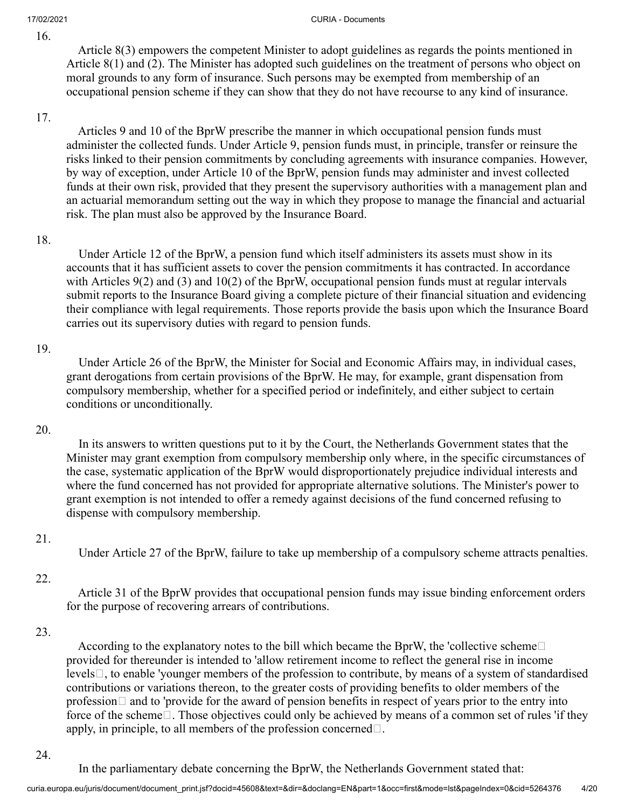Article 8(3) empowers the competent Minister to adopt guidelines as regards the points mentioned in Article 8(1) and (2). The Minister has adopted such guidelines on the treatment of persons who object on moral grounds to any form of insurance. Such persons may be exempted from membership of an occupational pension scheme if they can show that they do not have recourse to any kind of insurance.

### 17.

 Articles 9 and 10 of the BprW prescribe the manner in which occupational pension funds must administer the collected funds. Under Article 9, pension funds must, in principle, transfer or reinsure the risks linked to their pension commitments by concluding agreements with insurance companies. However, by way of exception, under Article 10 of the BprW, pension funds may administer and invest collected funds at their own risk, provided that they present the supervisory authorities with a management plan and an actuarial memorandum setting out the way in which they propose to manage the financial and actuarial risk. The plan must also be approved by the Insurance Board.

### 18.

 Under Article 12 of the BprW, a pension fund which itself administers its assets must show in its accounts that it has sufficient assets to cover the pension commitments it has contracted. In accordance with Articles  $9(2)$  and  $(3)$  and  $10(2)$  of the BprW, occupational pension funds must at regular intervals submit reports to the Insurance Board giving a complete picture of their financial situation and evidencing their compliance with legal requirements. Those reports provide the basis upon which the Insurance Board carries out its supervisory duties with regard to pension funds.

## 19.

 Under Article 26 of the BprW, the Minister for Social and Economic Affairs may, in individual cases, grant derogations from certain provisions of the BprW. He may, for example, grant dispensation from compulsory membership, whether for a specified period or indefinitely, and either subject to certain conditions or unconditionally.

## 20.

 In its answers to written questions put to it by the Court, the Netherlands Government states that the Minister may grant exemption from compulsory membership only where, in the specific circumstances of the case, systematic application of the BprW would disproportionately prejudice individual interests and where the fund concerned has not provided for appropriate alternative solutions. The Minister's power to grant exemption is not intended to offer a remedy against decisions of the fund concerned refusing to dispense with compulsory membership.

## 21.

Under Article 27 of the BprW, failure to take up membership of a compulsory scheme attracts penalties.

## 22.

 Article 31 of the BprW provides that occupational pension funds may issue binding enforcement orders for the purpose of recovering arrears of contributions.

## 23.

According to the explanatory notes to the bill which became the BprW, the 'collective scheme $\square$ provided for thereunder is intended to 'allow retirement income to reflect the general rise in income levels $\Box$ , to enable 'younger members of the profession to contribute, by means of a system of standardised contributions or variations thereon, to the greater costs of providing benefits to older members of the profession  $\Box$  and to 'provide for the award of pension benefits in respect of years prior to the entry into force of the scheme. Those objectives could only be achieved by means of a common set of rules 'if they apply, in principle, to all members of the profession concerned $\Box$ .

### 24.

In the parliamentary debate concerning the BprW, the Netherlands Government stated that: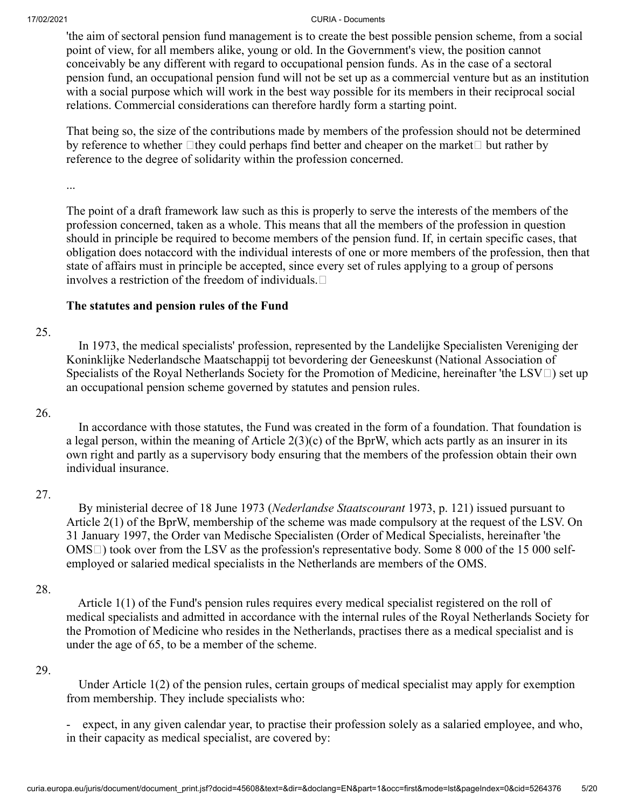'the aim of sectoral pension fund management is to create the best possible pension scheme, from a social point of view, for all members alike, young or old. In the Government's view, the position cannot conceivably be any different with regard to occupational pension funds. As in the case of a sectoral pension fund, an occupational pension fund will not be set up as a commercial venture but as an institution with a social purpose which will work in the best way possible for its members in their reciprocal social relations. Commercial considerations can therefore hardly form a starting point.

That being so, the size of the contributions made by members of the profession should not be determined by reference to whether  $\Box$  they could perhaps find better and cheaper on the market  $\Box$  but rather by reference to the degree of solidarity within the profession concerned.

...

The point of a draft framework law such as this is properly to serve the interests of the members of the profession concerned, taken as a whole. This means that all the members of the profession in question should in principle be required to become members of the pension fund. If, in certain specific cases, that obligation does notaccord with the individual interests of one or more members of the profession, then that state of affairs must in principle be accepted, since every set of rules applying to a group of persons involves a restriction of the freedom of individuals.

### **The statutes and pension rules of the Fund**

### 25.

 In 1973, the medical specialists' profession, represented by the Landelijke Specialisten Vereniging der Koninklijke Nederlandsche Maatschappij tot bevordering der Geneeskunst (National Association of Specialists of the Royal Netherlands Society for the Promotion of Medicine, hereinafter 'the LSV $\Box$ ) set up an occupational pension scheme governed by statutes and pension rules.

### 26.

 In accordance with those statutes, the Fund was created in the form of a foundation. That foundation is a legal person, within the meaning of Article  $2(3)(c)$  of the BprW, which acts partly as an insurer in its own right and partly as a supervisory body ensuring that the members of the profession obtain their own individual insurance.

### 27.

 By ministerial decree of 18 June 1973 (*Nederlandse Staatscourant* 1973, p. 121) issued pursuant to Article 2(1) of the BprW, membership of the scheme was made compulsory at the request of the LSV. On 31 January 1997, the Order van Medische Specialisten (Order of Medical Specialists, hereinafter 'the  $OMS \Box$ ) took over from the LSV as the profession's representative body. Some 8 000 of the 15 000 selfemployed or salaried medical specialists in the Netherlands are members of the OMS.

### 28.

 Article 1(1) of the Fund's pension rules requires every medical specialist registered on the roll of medical specialists and admitted in accordance with the internal rules of the Royal Netherlands Society for the Promotion of Medicine who resides in the Netherlands, practises there as a medical specialist and is under the age of 65, to be a member of the scheme.

### 29.

 Under Article 1(2) of the pension rules, certain groups of medical specialist may apply for exemption from membership. They include specialists who:

expect, in any given calendar year, to practise their profession solely as a salaried employee, and who, in their capacity as medical specialist, are covered by: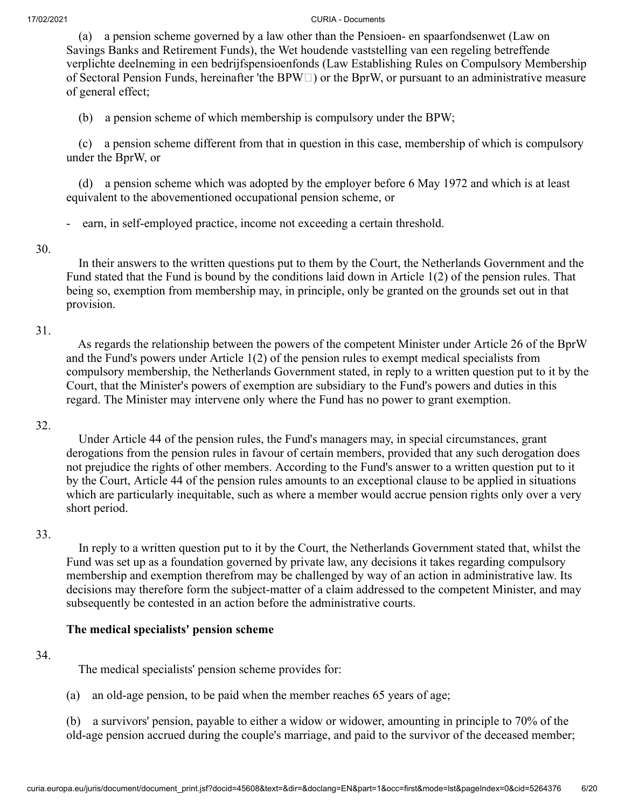(a) a pension scheme governed by a law other than the Pensioen- en spaarfondsenwet (Law on Savings Banks and Retirement Funds), the Wet houdende vaststelling van een regeling betreffende verplichte deelneming in een bedrijfspensioenfonds (Law Establishing Rules on Compulsory Membership of Sectoral Pension Funds, hereinafter 'the BPW $\Box$ ) or the BprW, or pursuant to an administrative measure of general effect;

(b) a pension scheme of which membership is compulsory under the BPW;

 (c) a pension scheme different from that in question in this case, membership of which is compulsory under the BprW, or

 (d) a pension scheme which was adopted by the employer before 6 May 1972 and which is at least equivalent to the abovementioned occupational pension scheme, or

earn, in self-employed practice, income not exceeding a certain threshold.

#### 30.

 In their answers to the written questions put to them by the Court, the Netherlands Government and the Fund stated that the Fund is bound by the conditions laid down in Article 1(2) of the pension rules. That being so, exemption from membership may, in principle, only be granted on the grounds set out in that provision.

### 31.

 As regards the relationship between the powers of the competent Minister under Article 26 of the BprW and the Fund's powers under Article 1(2) of the pension rules to exempt medical specialists from compulsory membership, the Netherlands Government stated, in reply to a written question put to it by the Court, that the Minister's powers of exemption are subsidiary to the Fund's powers and duties in this regard. The Minister may intervene only where the Fund has no power to grant exemption.

### 32.

 Under Article 44 of the pension rules, the Fund's managers may, in special circumstances, grant derogations from the pension rules in favour of certain members, provided that any such derogation does not prejudice the rights of other members. According to the Fund's answer to a written question put to it by the Court, Article 44 of the pension rules amounts to an exceptional clause to be applied in situations which are particularly inequitable, such as where a member would accrue pension rights only over a very short period.

### 33.

 In reply to a written question put to it by the Court, the Netherlands Government stated that, whilst the Fund was set up as a foundation governed by private law, any decisions it takes regarding compulsory membership and exemption therefrom may be challenged by way of an action in administrative law. Its decisions may therefore form the subject-matter of a claim addressed to the competent Minister, and may subsequently be contested in an action before the administrative courts.

## **The medical specialists' pension scheme**

### 34.

The medical specialists' pension scheme provides for:

(a) an old-age pension, to be paid when the member reaches 65 years of age;

(b) a survivors' pension, payable to either a widow or widower, amounting in principle to 70% of the old-age pension accrued during the couple's marriage, and paid to the survivor of the deceased member;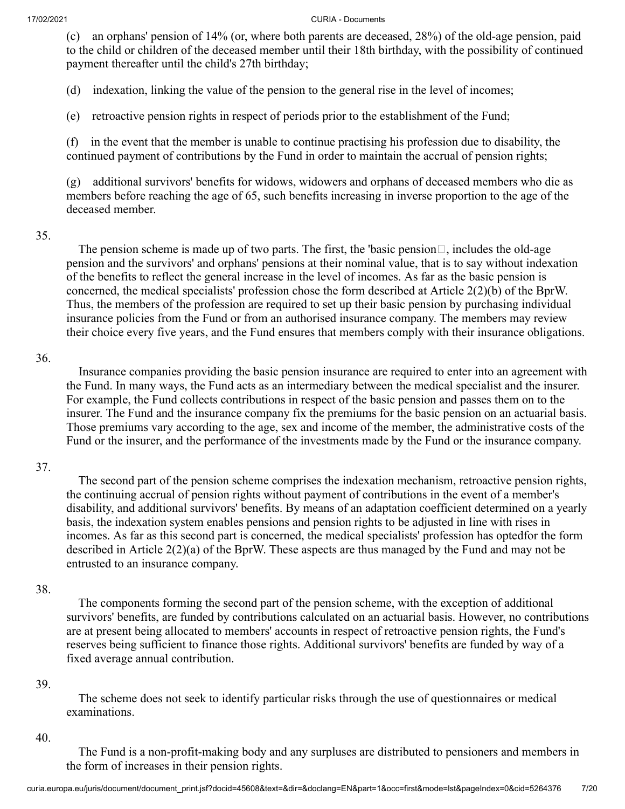(c) an orphans' pension of 14% (or, where both parents are deceased, 28%) of the old-age pension, paid to the child or children of the deceased member until their 18th birthday, with the possibility of continued payment thereafter until the child's 27th birthday;

(d) indexation, linking the value of the pension to the general rise in the level of incomes;

(e) retroactive pension rights in respect of periods prior to the establishment of the Fund;

(f) in the event that the member is unable to continue practising his profession due to disability, the continued payment of contributions by the Fund in order to maintain the accrual of pension rights;

(g) additional survivors' benefits for widows, widowers and orphans of deceased members who die as members before reaching the age of 65, such benefits increasing in inverse proportion to the age of the deceased member.

### 35.

The pension scheme is made up of two parts. The first, the 'basic pension $\Box$ , includes the old-age pension and the survivors' and orphans' pensions at their nominal value, that is to say without indexation of the benefits to reflect the general increase in the level of incomes. As far as the basic pension is concerned, the medical specialists' profession chose the form described at Article 2(2)(b) of the BprW. Thus, the members of the profession are required to set up their basic pension by purchasing individual insurance policies from the Fund or from an authorised insurance company. The members may review their choice every five years, and the Fund ensures that members comply with their insurance obligations.

#### 36.

 Insurance companies providing the basic pension insurance are required to enter into an agreement with the Fund. In many ways, the Fund acts as an intermediary between the medical specialist and the insurer. For example, the Fund collects contributions in respect of the basic pension and passes them on to the insurer. The Fund and the insurance company fix the premiums for the basic pension on an actuarial basis. Those premiums vary according to the age, sex and income of the member, the administrative costs of the Fund or the insurer, and the performance of the investments made by the Fund or the insurance company.

### 37.

 The second part of the pension scheme comprises the indexation mechanism, retroactive pension rights, the continuing accrual of pension rights without payment of contributions in the event of a member's disability, and additional survivors' benefits. By means of an adaptation coefficient determined on a yearly basis, the indexation system enables pensions and pension rights to be adjusted in line with rises in incomes. As far as this second part is concerned, the medical specialists' profession has optedfor the form described in Article 2(2)(a) of the BprW. These aspects are thus managed by the Fund and may not be entrusted to an insurance company.

### 38.

 The components forming the second part of the pension scheme, with the exception of additional survivors' benefits, are funded by contributions calculated on an actuarial basis. However, no contributions are at present being allocated to members' accounts in respect of retroactive pension rights, the Fund's reserves being sufficient to finance those rights. Additional survivors' benefits are funded by way of a fixed average annual contribution.

### 39.

 The scheme does not seek to identify particular risks through the use of questionnaires or medical examinations.

#### 40.

 The Fund is a non-profit-making body and any surpluses are distributed to pensioners and members in the form of increases in their pension rights.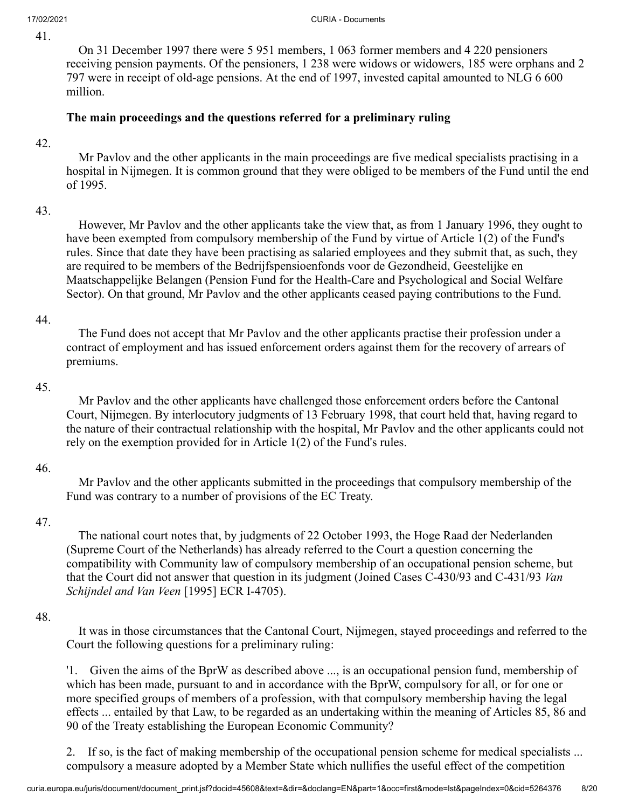On 31 December 1997 there were 5 951 members, 1 063 former members and 4 220 pensioners receiving pension payments. Of the pensioners, 1 238 were widows or widowers, 185 were orphans and 2 797 were in receipt of old-age pensions. At the end of 1997, invested capital amounted to NLG 6 600 million.

# **The main proceedings and the questions referred for a preliminary ruling**

#### 42.

 Mr Pavlov and the other applicants in the main proceedings are five medical specialists practising in a hospital in Nijmegen. It is common ground that they were obliged to be members of the Fund until the end of 1995.

### 43.

 However, Mr Pavlov and the other applicants take the view that, as from 1 January 1996, they ought to have been exempted from compulsory membership of the Fund by virtue of Article 1(2) of the Fund's rules. Since that date they have been practising as salaried employees and they submit that, as such, they are required to be members of the Bedrijfspensioenfonds voor de Gezondheid, Geestelijke en Maatschappelijke Belangen (Pension Fund for the Health-Care and Psychological and Social Welfare Sector). On that ground, Mr Pavlov and the other applicants ceased paying contributions to the Fund.

### 44.

 The Fund does not accept that Mr Pavlov and the other applicants practise their profession under a contract of employment and has issued enforcement orders against them for the recovery of arrears of premiums.

### 45.

 Mr Pavlov and the other applicants have challenged those enforcement orders before the Cantonal Court, Nijmegen. By interlocutory judgments of 13 February 1998, that court held that, having regard to the nature of their contractual relationship with the hospital, Mr Pavlov and the other applicants could not rely on the exemption provided for in Article 1(2) of the Fund's rules.

### 46.

 Mr Pavlov and the other applicants submitted in the proceedings that compulsory membership of the Fund was contrary to a number of provisions of the EC Treaty.

## 47.

 The national court notes that, by judgments of 22 October 1993, the Hoge Raad der Nederlanden (Supreme Court of the Netherlands) has already referred to the Court a question concerning the compatibility with Community law of compulsory membership of an occupational pension scheme, but that the Court did not answer that question in its judgment (Joined Cases C-430/93 and C-431/93 *Van Schijndel and Van Veen* [1995] ECR I-4705).

### 48.

 It was in those circumstances that the Cantonal Court, Nijmegen, stayed proceedings and referred to the Court the following questions for a preliminary ruling:

'1. Given the aims of the BprW as described above ..., is an occupational pension fund, membership of which has been made, pursuant to and in accordance with the BprW, compulsory for all, or for one or more specified groups of members of a profession, with that compulsory membership having the legal effects ... entailed by that Law, to be regarded as an undertaking within the meaning of Articles 85, 86 and 90 of the Treaty establishing the European Economic Community?

2. If so, is the fact of making membership of the occupational pension scheme for medical specialists ... compulsory a measure adopted by a Member State which nullifies the useful effect of the competition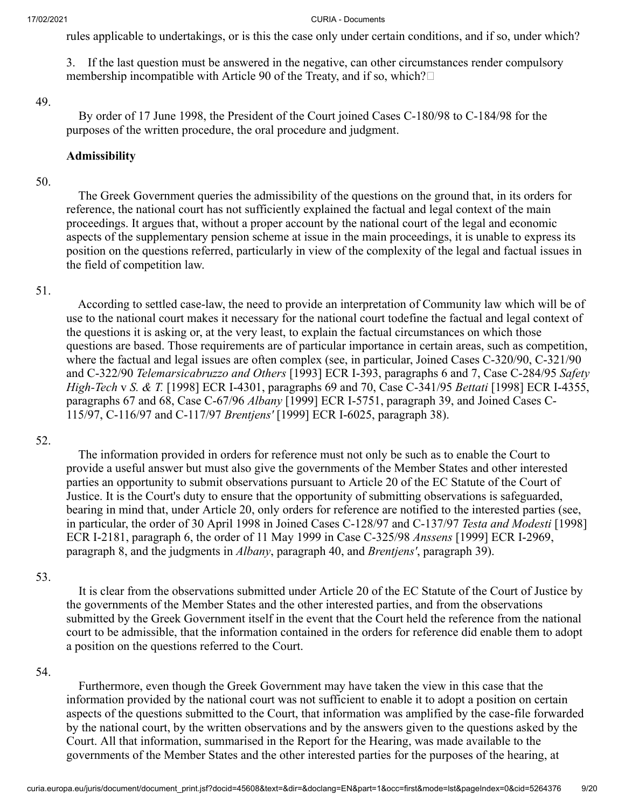rules applicable to undertakings, or is this the case only under certain conditions, and if so, under which?

3. If the last question must be answered in the negative, can other circumstances render compulsory membership incompatible with Article 90 of the Treaty, and if so, which? $\square$ 

#### 49.

 By order of 17 June 1998, the President of the Court joined Cases C-180/98 to C-184/98 for the purposes of the written procedure, the oral procedure and judgment.

#### **Admissibility**

#### 50.

 The Greek Government queries the admissibility of the questions on the ground that, in its orders for reference, the national court has not sufficiently explained the factual and legal context of the main proceedings. It argues that, without a proper account by the national court of the legal and economic aspects of the supplementary pension scheme at issue in the main proceedings, it is unable to express its position on the questions referred, particularly in view of the complexity of the legal and factual issues in the field of competition law.

#### 51.

 According to settled case-law, the need to provide an interpretation of Community law which will be of use to the national court makes it necessary for the national court todefine the factual and legal context of the questions it is asking or, at the very least, to explain the factual circumstances on which those questions are based. Those requirements are of particular importance in certain areas, such as competition, where the factual and legal issues are often complex (see, in particular, Joined Cases C-320/90, C-321/90 and C-322/90 *Telemarsicabruzzo and Others* [1993] ECR I-393, paragraphs 6 and 7, Case C-284/95 *Safety High-Tech* v *S. & T.* [1998] ECR I-4301, paragraphs 69 and 70, Case C-341/95 *Bettati* [1998] ECR I-4355, paragraphs 67 and 68, Case C-67/96 *Albany* [1999] ECR I-5751, paragraph 39, and Joined Cases C-115/97, C-116/97 and C-117/97 *Brentjens'* [1999] ECR I-6025, paragraph 38).

#### 52.

 The information provided in orders for reference must not only be such as to enable the Court to provide a useful answer but must also give the governments of the Member States and other interested parties an opportunity to submit observations pursuant to Article 20 of the EC Statute of the Court of Justice. It is the Court's duty to ensure that the opportunity of submitting observations is safeguarded, bearing in mind that, under Article 20, only orders for reference are notified to the interested parties (see, in particular, the order of 30 April 1998 in Joined Cases C-128/97 and C-137/97 *Testa and Modesti* [1998] ECR I-2181, paragraph 6, the order of 11 May 1999 in Case C-325/98 *Anssens* [1999] ECR I-2969, paragraph 8, and the judgments in *Albany*, paragraph 40, and *Brentjens'*, paragraph 39).

#### 53.

 It is clear from the observations submitted under Article 20 of the EC Statute of the Court of Justice by the governments of the Member States and the other interested parties, and from the observations submitted by the Greek Government itself in the event that the Court held the reference from the national court to be admissible, that the information contained in the orders for reference did enable them to adopt a position on the questions referred to the Court.

#### 54.

 Furthermore, even though the Greek Government may have taken the view in this case that the information provided by the national court was not sufficient to enable it to adopt a position on certain aspects of the questions submitted to the Court, that information was amplified by the case-file forwarded by the national court, by the written observations and by the answers given to the questions asked by the Court. All that information, summarised in the Report for the Hearing, was made available to the governments of the Member States and the other interested parties for the purposes of the hearing, at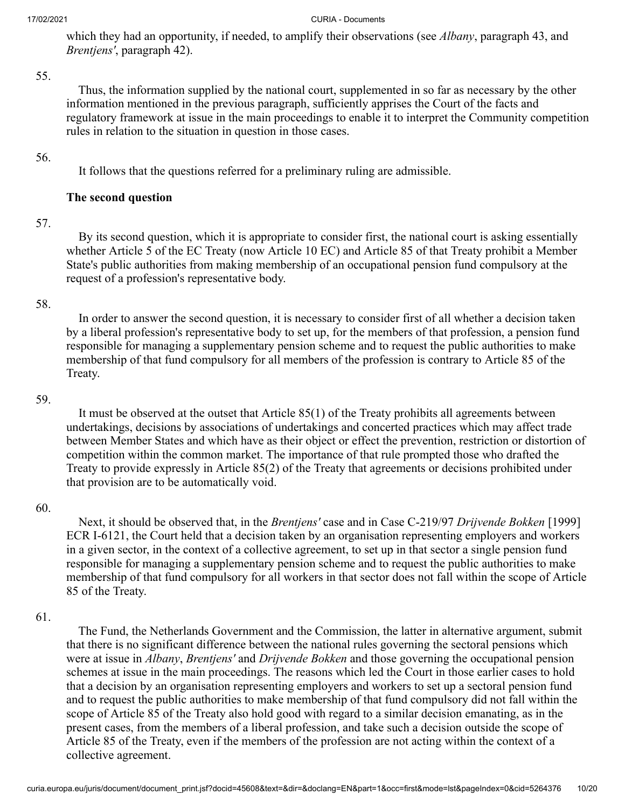which they had an opportunity, if needed, to amplify their observations (see *Albany*, paragraph 43, and *Brentjens'*, paragraph 42).

#### 55.

 Thus, the information supplied by the national court, supplemented in so far as necessary by the other information mentioned in the previous paragraph, sufficiently apprises the Court of the facts and regulatory framework at issue in the main proceedings to enable it to interpret the Community competition rules in relation to the situation in question in those cases.

### 56.

It follows that the questions referred for a preliminary ruling are admissible.

### **The second question**

### 57.

 By its second question, which it is appropriate to consider first, the national court is asking essentially whether Article 5 of the EC Treaty (now Article 10 EC) and Article 85 of that Treaty prohibit a Member State's public authorities from making membership of an occupational pension fund compulsory at the request of a profession's representative body.

### 58.

 In order to answer the second question, it is necessary to consider first of all whether a decision taken by a liberal profession's representative body to set up, for the members of that profession, a pension fund responsible for managing a supplementary pension scheme and to request the public authorities to make membership of that fund compulsory for all members of the profession is contrary to Article 85 of the Treaty.

#### 59.

 It must be observed at the outset that Article 85(1) of the Treaty prohibits all agreements between undertakings, decisions by associations of undertakings and concerted practices which may affect trade between Member States and which have as their object or effect the prevention, restriction or distortion of competition within the common market. The importance of that rule prompted those who drafted the Treaty to provide expressly in Article 85(2) of the Treaty that agreements or decisions prohibited under that provision are to be automatically void.

### 60.

 Next, it should be observed that, in the *Brentjens'* case and in Case C-219/97 *Drijvende Bokken* [1999] ECR I-6121, the Court held that a decision taken by an organisation representing employers and workers in a given sector, in the context of a collective agreement, to set up in that sector a single pension fund responsible for managing a supplementary pension scheme and to request the public authorities to make membership of that fund compulsory for all workers in that sector does not fall within the scope of Article 85 of the Treaty.

### 61.

 The Fund, the Netherlands Government and the Commission, the latter in alternative argument, submit that there is no significant difference between the national rules governing the sectoral pensions which were at issue in *Albany*, *Brentjens'* and *Drijvende Bokken* and those governing the occupational pension schemes at issue in the main proceedings. The reasons which led the Court in those earlier cases to hold that a decision by an organisation representing employers and workers to set up a sectoral pension fund and to request the public authorities to make membership of that fund compulsory did not fall within the scope of Article 85 of the Treaty also hold good with regard to a similar decision emanating, as in the present cases, from the members of a liberal profession, and take such a decision outside the scope of Article 85 of the Treaty, even if the members of the profession are not acting within the context of a collective agreement.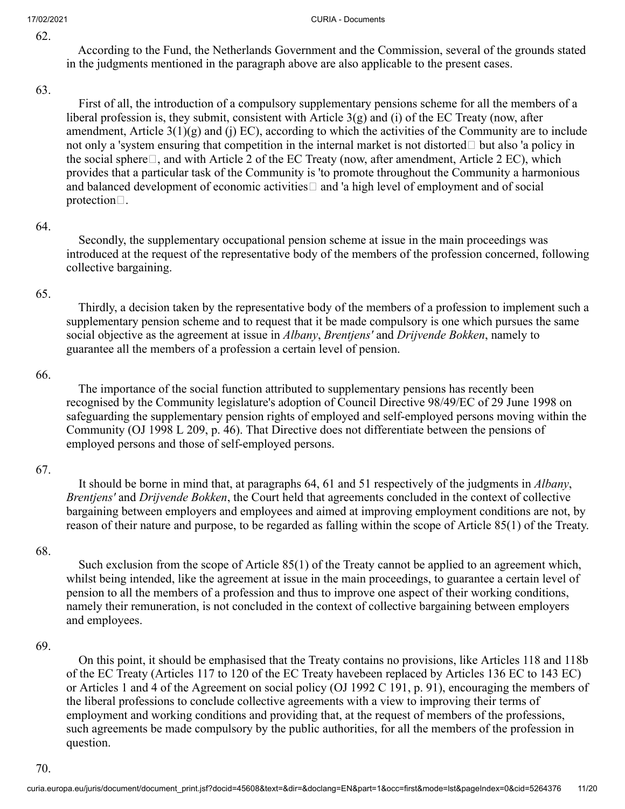According to the Fund, the Netherlands Government and the Commission, several of the grounds stated in the judgments mentioned in the paragraph above are also applicable to the present cases.

#### 63.

 First of all, the introduction of a compulsory supplementary pensions scheme for all the members of a liberal profession is, they submit, consistent with Article 3(g) and (i) of the EC Treaty (now, after amendment, Article  $3(1)(g)$  and  $(j)$  EC), according to which the activities of the Community are to include not only a 'system ensuring that competition in the internal market is not distorted  $\Box$  but also 'a policy in the social sphere  $\Box$ , and with Article 2 of the EC Treaty (now, after amendment, Article 2 EC), which provides that a particular task of the Community is 'to promote throughout the Community a harmonious and balanced development of economic activities  $\Box$  and 'a high level of employment and of social protection $\Box$ .

#### 64.

 Secondly, the supplementary occupational pension scheme at issue in the main proceedings was introduced at the request of the representative body of the members of the profession concerned, following collective bargaining.

#### 65.

 Thirdly, a decision taken by the representative body of the members of a profession to implement such a supplementary pension scheme and to request that it be made compulsory is one which pursues the same social objective as the agreement at issue in *Albany*, *Brentjens'* and *Drijvende Bokken*, namely to guarantee all the members of a profession a certain level of pension.

#### 66.

 The importance of the social function attributed to supplementary pensions has recently been recognised by the Community legislature's adoption of Council Directive 98/49/EC of 29 June 1998 on safeguarding the supplementary pension rights of employed and self-employed persons moving within the Community (OJ 1998 L 209, p. 46). That Directive does not differentiate between the pensions of employed persons and those of self-employed persons.

### 67.

 It should be borne in mind that, at paragraphs 64, 61 and 51 respectively of the judgments in *Albany*, *Brentjens'* and *Drijvende Bokken*, the Court held that agreements concluded in the context of collective bargaining between employers and employees and aimed at improving employment conditions are not, by reason of their nature and purpose, to be regarded as falling within the scope of Article 85(1) of the Treaty.

### 68.

 Such exclusion from the scope of Article 85(1) of the Treaty cannot be applied to an agreement which, whilst being intended, like the agreement at issue in the main proceedings, to guarantee a certain level of pension to all the members of a profession and thus to improve one aspect of their working conditions, namely their remuneration, is not concluded in the context of collective bargaining between employers and employees.

### 69.

 On this point, it should be emphasised that the Treaty contains no provisions, like Articles 118 and 118b of the EC Treaty (Articles 117 to 120 of the EC Treaty havebeen replaced by Articles 136 EC to 143 EC) or Articles 1 and 4 of the Agreement on social policy (OJ 1992 C 191, p. 91), encouraging the members of the liberal professions to conclude collective agreements with a view to improving their terms of employment and working conditions and providing that, at the request of members of the professions, such agreements be made compulsory by the public authorities, for all the members of the profession in question.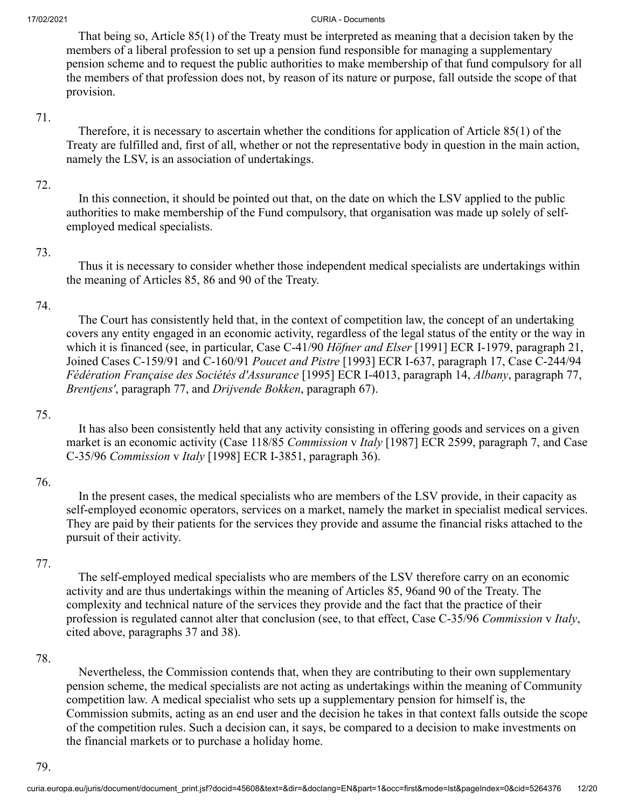That being so, Article 85(1) of the Treaty must be interpreted as meaning that a decision taken by the members of a liberal profession to set up a pension fund responsible for managing a supplementary pension scheme and to request the public authorities to make membership of that fund compulsory for all the members of that profession does not, by reason of its nature or purpose, fall outside the scope of that provision.

#### 71.

 Therefore, it is necessary to ascertain whether the conditions for application of Article 85(1) of the Treaty are fulfilled and, first of all, whether or not the representative body in question in the main action, namely the LSV, is an association of undertakings.

### 72.

 In this connection, it should be pointed out that, on the date on which the LSV applied to the public authorities to make membership of the Fund compulsory, that organisation was made up solely of selfemployed medical specialists.

### 73.

 Thus it is necessary to consider whether those independent medical specialists are undertakings within the meaning of Articles 85, 86 and 90 of the Treaty.

### 74.

 The Court has consistently held that, in the context of competition law, the concept of an undertaking covers any entity engaged in an economic activity, regardless of the legal status of the entity or the way in which it is financed (see, in particular, Case C-41/90 *Höfner and Elser* [1991] ECR I-1979, paragraph 21, Joined Cases C-159/91 and C-160/91 *Poucet and Pistre* [1993] ECR I-637, paragraph 17, Case C-244/94 *Fédération Française des Sociétés d'Assurance* [1995] ECR I-4013, paragraph 14, *Albany*, paragraph 77, *Brentjens'*, paragraph 77, and *Drijvende Bokken*, paragraph 67).

### 75.

 It has also been consistently held that any activity consisting in offering goods and services on a given market is an economic activity (Case 118/85 *Commission* v *Italy* [1987] ECR 2599, paragraph 7, and Case C-35/96 *Commission* v *Italy* [1998] ECR I-3851, paragraph 36).

## 76.

 In the present cases, the medical specialists who are members of the LSV provide, in their capacity as self-employed economic operators, services on a market, namely the market in specialist medical services. They are paid by their patients for the services they provide and assume the financial risks attached to the pursuit of their activity.

### 77.

 The self-employed medical specialists who are members of the LSV therefore carry on an economic activity and are thus undertakings within the meaning of Articles 85, 96and 90 of the Treaty. The complexity and technical nature of the services they provide and the fact that the practice of their profession is regulated cannot alter that conclusion (see, to that effect, Case C-35/96 *Commission* v *Italy*, cited above, paragraphs 37 and 38).

## 78.

 Nevertheless, the Commission contends that, when they are contributing to their own supplementary pension scheme, the medical specialists are not acting as undertakings within the meaning of Community competition law. A medical specialist who sets up a supplementary pension for himself is, the Commission submits, acting as an end user and the decision he takes in that context falls outside the scope of the competition rules. Such a decision can, it says, be compared to a decision to make investments on the financial markets or to purchase a holiday home.

79.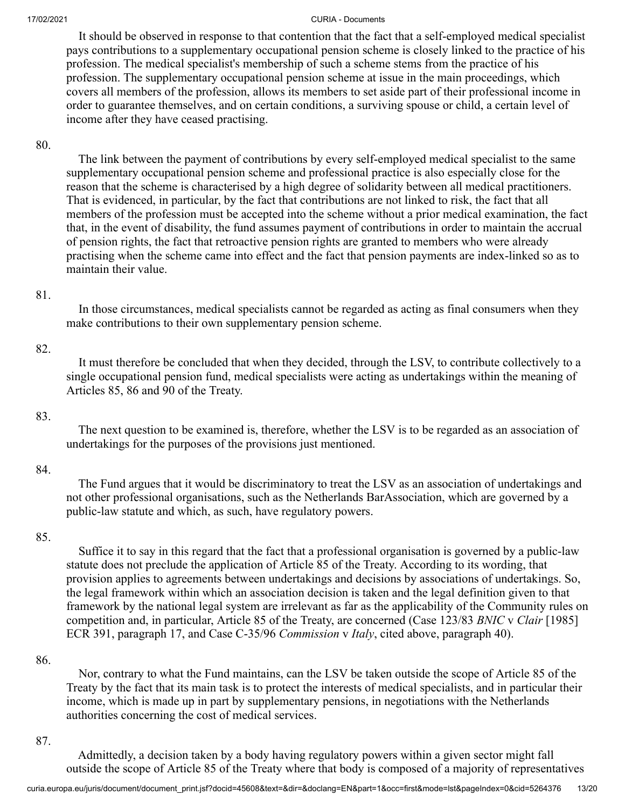It should be observed in response to that contention that the fact that a self-employed medical specialist pays contributions to a supplementary occupational pension scheme is closely linked to the practice of his profession. The medical specialist's membership of such a scheme stems from the practice of his profession. The supplementary occupational pension scheme at issue in the main proceedings, which covers all members of the profession, allows its members to set aside part of their professional income in order to guarantee themselves, and on certain conditions, a surviving spouse or child, a certain level of income after they have ceased practising.

#### 80.

 The link between the payment of contributions by every self-employed medical specialist to the same supplementary occupational pension scheme and professional practice is also especially close for the reason that the scheme is characterised by a high degree of solidarity between all medical practitioners. That is evidenced, in particular, by the fact that contributions are not linked to risk, the fact that all members of the profession must be accepted into the scheme without a prior medical examination, the fact that, in the event of disability, the fund assumes payment of contributions in order to maintain the accrual of pension rights, the fact that retroactive pension rights are granted to members who were already practising when the scheme came into effect and the fact that pension payments are index-linked so as to maintain their value.

#### 81.

 In those circumstances, medical specialists cannot be regarded as acting as final consumers when they make contributions to their own supplementary pension scheme.

#### 82.

 It must therefore be concluded that when they decided, through the LSV, to contribute collectively to a single occupational pension fund, medical specialists were acting as undertakings within the meaning of Articles 85, 86 and 90 of the Treaty.

#### 83.

 The next question to be examined is, therefore, whether the LSV is to be regarded as an association of undertakings for the purposes of the provisions just mentioned.

#### 84.

 The Fund argues that it would be discriminatory to treat the LSV as an association of undertakings and not other professional organisations, such as the Netherlands BarAssociation, which are governed by a public-law statute and which, as such, have regulatory powers.

#### 85.

 Suffice it to say in this regard that the fact that a professional organisation is governed by a public-law statute does not preclude the application of Article 85 of the Treaty. According to its wording, that provision applies to agreements between undertakings and decisions by associations of undertakings. So, the legal framework within which an association decision is taken and the legal definition given to that framework by the national legal system are irrelevant as far as the applicability of the Community rules on competition and, in particular, Article 85 of the Treaty, are concerned (Case 123/83 *BNIC* v *Clair* [1985] ECR 391, paragraph 17, and Case C-35/96 *Commission* v *Italy*, cited above, paragraph 40).

#### 86.

 Nor, contrary to what the Fund maintains, can the LSV be taken outside the scope of Article 85 of the Treaty by the fact that its main task is to protect the interests of medical specialists, and in particular their income, which is made up in part by supplementary pensions, in negotiations with the Netherlands authorities concerning the cost of medical services.

#### 87.

 Admittedly, a decision taken by a body having regulatory powers within a given sector might fall outside the scope of Article 85 of the Treaty where that body is composed of a majority of representatives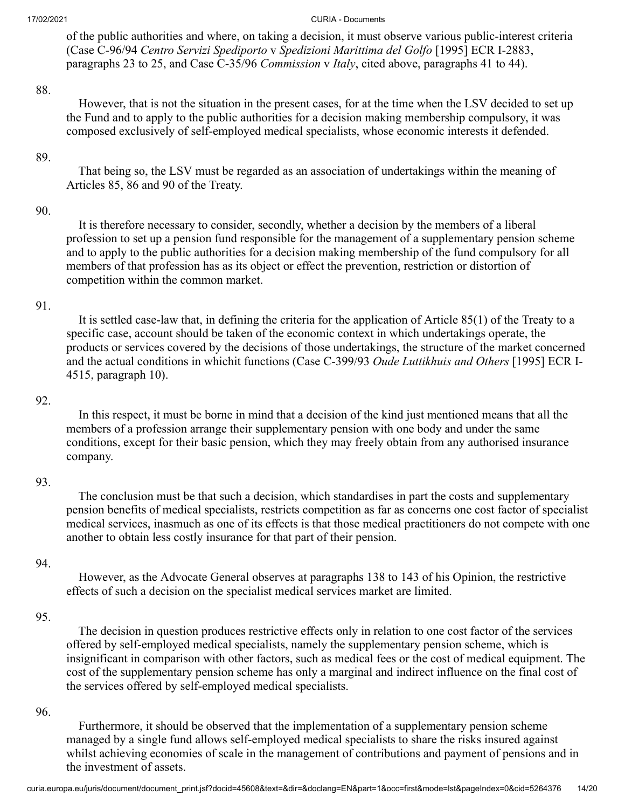of the public authorities and where, on taking a decision, it must observe various public-interest criteria (Case C-96/94 *Centro Servizi Spediporto* v *Spedizioni Marittima del Golfo* [1995] ECR I-2883, paragraphs 23 to 25, and Case C-35/96 *Commission* v *Italy*, cited above, paragraphs 41 to 44).

#### 88.

 However, that is not the situation in the present cases, for at the time when the LSV decided to set up the Fund and to apply to the public authorities for a decision making membership compulsory, it was composed exclusively of self-employed medical specialists, whose economic interests it defended.

### 89.

 That being so, the LSV must be regarded as an association of undertakings within the meaning of Articles 85, 86 and 90 of the Treaty.

#### 90.

 It is therefore necessary to consider, secondly, whether a decision by the members of a liberal profession to set up a pension fund responsible for the management of a supplementary pension scheme and to apply to the public authorities for a decision making membership of the fund compulsory for all members of that profession has as its object or effect the prevention, restriction or distortion of competition within the common market.

#### 91.

 It is settled case-law that, in defining the criteria for the application of Article 85(1) of the Treaty to a specific case, account should be taken of the economic context in which undertakings operate, the products or services covered by the decisions of those undertakings, the structure of the market concerned and the actual conditions in whichit functions (Case C-399/93 *Oude Luttikhuis and Others* [1995] ECR I-4515, paragraph 10).

#### 92.

 In this respect, it must be borne in mind that a decision of the kind just mentioned means that all the members of a profession arrange their supplementary pension with one body and under the same conditions, except for their basic pension, which they may freely obtain from any authorised insurance company.

### 93.

 The conclusion must be that such a decision, which standardises in part the costs and supplementary pension benefits of medical specialists, restricts competition as far as concerns one cost factor of specialist medical services, inasmuch as one of its effects is that those medical practitioners do not compete with one another to obtain less costly insurance for that part of their pension.

#### 94.

 However, as the Advocate General observes at paragraphs 138 to 143 of his Opinion, the restrictive effects of such a decision on the specialist medical services market are limited.

### 95.

 The decision in question produces restrictive effects only in relation to one cost factor of the services offered by self-employed medical specialists, namely the supplementary pension scheme, which is insignificant in comparison with other factors, such as medical fees or the cost of medical equipment. The cost of the supplementary pension scheme has only a marginal and indirect influence on the final cost of the services offered by self-employed medical specialists.

#### 96.

 Furthermore, it should be observed that the implementation of a supplementary pension scheme managed by a single fund allows self-employed medical specialists to share the risks insured against whilst achieving economies of scale in the management of contributions and payment of pensions and in the investment of assets.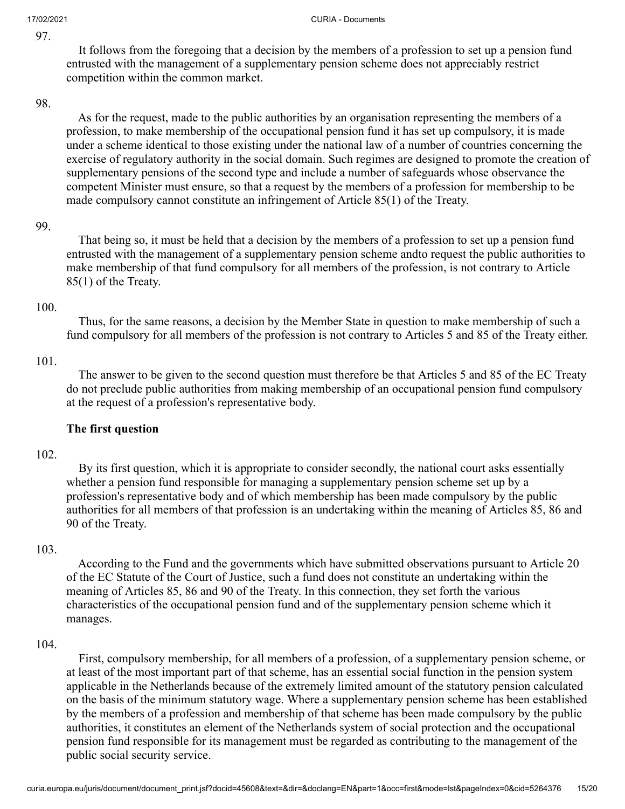It follows from the foregoing that a decision by the members of a profession to set up a pension fund entrusted with the management of a supplementary pension scheme does not appreciably restrict competition within the common market.

#### 98.

 As for the request, made to the public authorities by an organisation representing the members of a profession, to make membership of the occupational pension fund it has set up compulsory, it is made under a scheme identical to those existing under the national law of a number of countries concerning the exercise of regulatory authority in the social domain. Such regimes are designed to promote the creation of supplementary pensions of the second type and include a number of safeguards whose observance the competent Minister must ensure, so that a request by the members of a profession for membership to be made compulsory cannot constitute an infringement of Article 85(1) of the Treaty.

### 99.

 That being so, it must be held that a decision by the members of a profession to set up a pension fund entrusted with the management of a supplementary pension scheme andto request the public authorities to make membership of that fund compulsory for all members of the profession, is not contrary to Article 85(1) of the Treaty.

### 100.

 Thus, for the same reasons, a decision by the Member State in question to make membership of such a fund compulsory for all members of the profession is not contrary to Articles 5 and 85 of the Treaty either.

#### 101.

 The answer to be given to the second question must therefore be that Articles 5 and 85 of the EC Treaty do not preclude public authorities from making membership of an occupational pension fund compulsory at the request of a profession's representative body.

### **The first question**

### 102.

 By its first question, which it is appropriate to consider secondly, the national court asks essentially whether a pension fund responsible for managing a supplementary pension scheme set up by a profession's representative body and of which membership has been made compulsory by the public authorities for all members of that profession is an undertaking within the meaning of Articles 85, 86 and 90 of the Treaty.

### 103.

 According to the Fund and the governments which have submitted observations pursuant to Article 20 of the EC Statute of the Court of Justice, such a fund does not constitute an undertaking within the meaning of Articles 85, 86 and 90 of the Treaty. In this connection, they set forth the various characteristics of the occupational pension fund and of the supplementary pension scheme which it manages.

#### 104.

 First, compulsory membership, for all members of a profession, of a supplementary pension scheme, or at least of the most important part of that scheme, has an essential social function in the pension system applicable in the Netherlands because of the extremely limited amount of the statutory pension calculated on the basis of the minimum statutory wage. Where a supplementary pension scheme has been established by the members of a profession and membership of that scheme has been made compulsory by the public authorities, it constitutes an element of the Netherlands system of social protection and the occupational pension fund responsible for its management must be regarded as contributing to the management of the public social security service.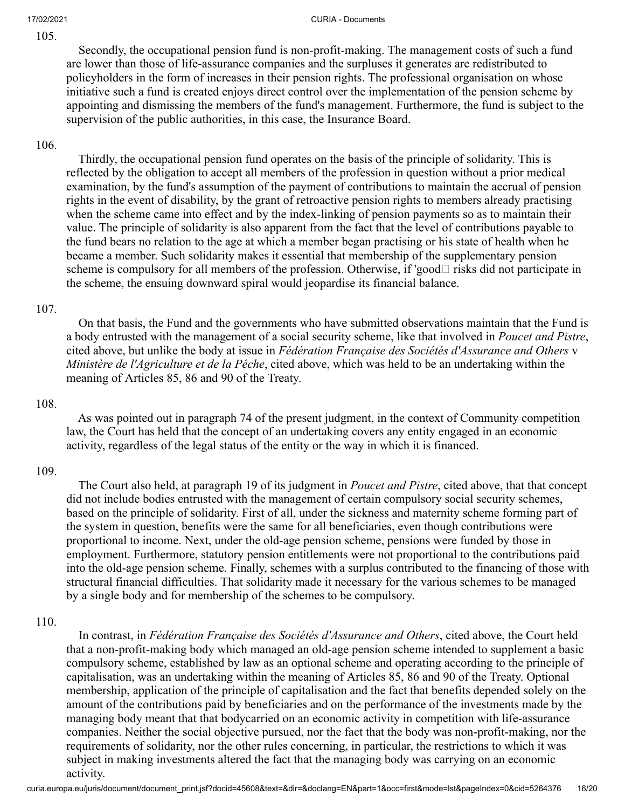Secondly, the occupational pension fund is non-profit-making. The management costs of such a fund are lower than those of life-assurance companies and the surpluses it generates are redistributed to policyholders in the form of increases in their pension rights. The professional organisation on whose initiative such a fund is created enjoys direct control over the implementation of the pension scheme by appointing and dismissing the members of the fund's management. Furthermore, the fund is subject to the supervision of the public authorities, in this case, the Insurance Board.

### 106.

 Thirdly, the occupational pension fund operates on the basis of the principle of solidarity. This is reflected by the obligation to accept all members of the profession in question without a prior medical examination, by the fund's assumption of the payment of contributions to maintain the accrual of pension rights in the event of disability, by the grant of retroactive pension rights to members already practising when the scheme came into effect and by the index-linking of pension payments so as to maintain their value. The principle of solidarity is also apparent from the fact that the level of contributions payable to the fund bears no relation to the age at which a member began practising or his state of health when he became a member. Such solidarity makes it essential that membership of the supplementary pension scheme is compulsory for all members of the profession. Otherwise, if 'good  $\Box$  risks did not participate in the scheme, the ensuing downward spiral would jeopardise its financial balance.

### 107.

 On that basis, the Fund and the governments who have submitted observations maintain that the Fund is a body entrusted with the management of a social security scheme, like that involved in *Poucet and Pistre*, cited above, but unlike the body at issue in *Fédération Française des Sociétés d'Assurance and Others* v *Ministère de l'Agriculture et de la Pêche*, cited above, which was held to be an undertaking within the meaning of Articles 85, 86 and 90 of the Treaty.

### 108.

 As was pointed out in paragraph 74 of the present judgment, in the context of Community competition law, the Court has held that the concept of an undertaking covers any entity engaged in an economic activity, regardless of the legal status of the entity or the way in which it is financed.

### 109.

 The Court also held, at paragraph 19 of its judgment in *Poucet and Pistre*, cited above, that that concept did not include bodies entrusted with the management of certain compulsory social security schemes, based on the principle of solidarity. First of all, under the sickness and maternity scheme forming part of the system in question, benefits were the same for all beneficiaries, even though contributions were proportional to income. Next, under the old-age pension scheme, pensions were funded by those in employment. Furthermore, statutory pension entitlements were not proportional to the contributions paid into the old-age pension scheme. Finally, schemes with a surplus contributed to the financing of those with structural financial difficulties. That solidarity made it necessary for the various schemes to be managed by a single body and for membership of the schemes to be compulsory.

### 110.

 In contrast, in *Fédération Française des Sociétés d'Assurance and Others*, cited above, the Court held that a non-profit-making body which managed an old-age pension scheme intended to supplement a basic compulsory scheme, established by law as an optional scheme and operating according to the principle of capitalisation, was an undertaking within the meaning of Articles 85, 86 and 90 of the Treaty. Optional membership, application of the principle of capitalisation and the fact that benefits depended solely on the amount of the contributions paid by beneficiaries and on the performance of the investments made by the managing body meant that that bodycarried on an economic activity in competition with life-assurance companies. Neither the social objective pursued, nor the fact that the body was non-profit-making, nor the requirements of solidarity, nor the other rules concerning, in particular, the restrictions to which it was subject in making investments altered the fact that the managing body was carrying on an economic activity.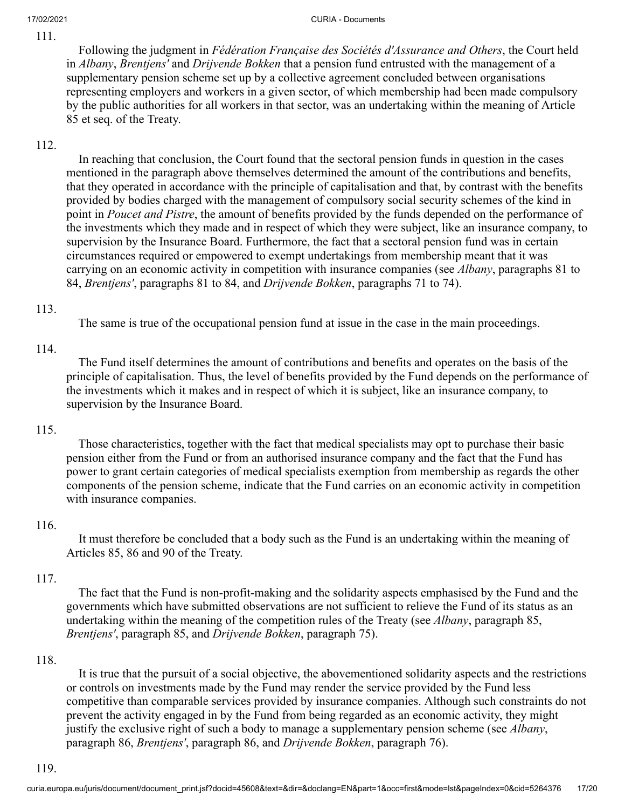Following the judgment in *Fédération Française des Sociétés d'Assurance and Others*, the Court held in *Albany*, *Brentjens'* and *Drijvende Bokken* that a pension fund entrusted with the management of a supplementary pension scheme set up by a collective agreement concluded between organisations representing employers and workers in a given sector, of which membership had been made compulsory by the public authorities for all workers in that sector, was an undertaking within the meaning of Article 85 et seq. of the Treaty.

## 112.

 In reaching that conclusion, the Court found that the sectoral pension funds in question in the cases mentioned in the paragraph above themselves determined the amount of the contributions and benefits, that they operated in accordance with the principle of capitalisation and that, by contrast with the benefits provided by bodies charged with the management of compulsory social security schemes of the kind in point in *Poucet and Pistre*, the amount of benefits provided by the funds depended on the performance of the investments which they made and in respect of which they were subject, like an insurance company, to supervision by the Insurance Board. Furthermore, the fact that a sectoral pension fund was in certain circumstances required or empowered to exempt undertakings from membership meant that it was carrying on an economic activity in competition with insurance companies (see *Albany*, paragraphs 81 to 84, *Brentjens'*, paragraphs 81 to 84, and *Drijvende Bokken*, paragraphs 71 to 74).

### 113.

The same is true of the occupational pension fund at issue in the case in the main proceedings.

### 114.

 The Fund itself determines the amount of contributions and benefits and operates on the basis of the principle of capitalisation. Thus, the level of benefits provided by the Fund depends on the performance of the investments which it makes and in respect of which it is subject, like an insurance company, to supervision by the Insurance Board.

### 115.

 Those characteristics, together with the fact that medical specialists may opt to purchase their basic pension either from the Fund or from an authorised insurance company and the fact that the Fund has power to grant certain categories of medical specialists exemption from membership as regards the other components of the pension scheme, indicate that the Fund carries on an economic activity in competition with insurance companies.

### 116.

 It must therefore be concluded that a body such as the Fund is an undertaking within the meaning of Articles 85, 86 and 90 of the Treaty.

### 117.

 The fact that the Fund is non-profit-making and the solidarity aspects emphasised by the Fund and the governments which have submitted observations are not sufficient to relieve the Fund of its status as an undertaking within the meaning of the competition rules of the Treaty (see *Albany*, paragraph 85, *Brentjens'*, paragraph 85, and *Drijvende Bokken*, paragraph 75).

### 118.

 It is true that the pursuit of a social objective, the abovementioned solidarity aspects and the restrictions or controls on investments made by the Fund may render the service provided by the Fund less competitive than comparable services provided by insurance companies. Although such constraints do not prevent the activity engaged in by the Fund from being regarded as an economic activity, they might justify the exclusive right of such a body to manage a supplementary pension scheme (see *Albany*, paragraph 86, *Brentjens'*, paragraph 86, and *Drijvende Bokken*, paragraph 76).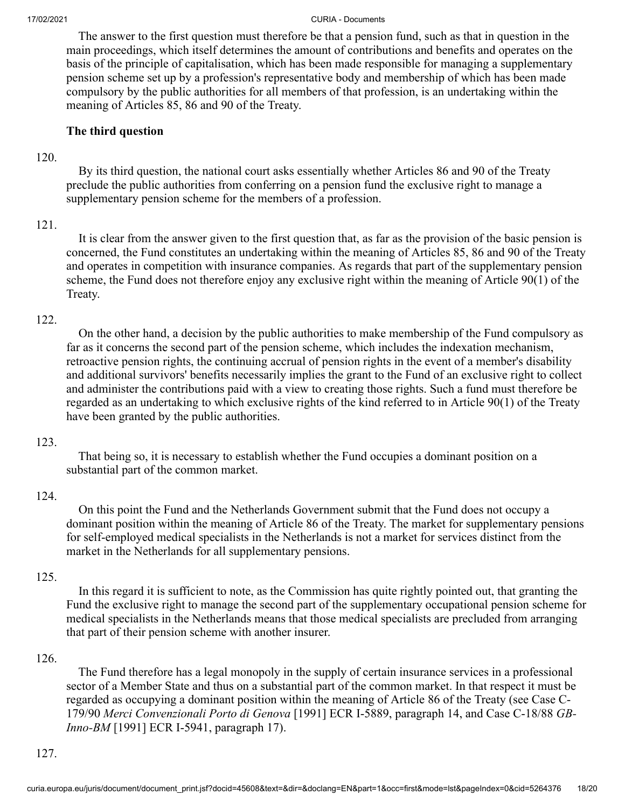The answer to the first question must therefore be that a pension fund, such as that in question in the main proceedings, which itself determines the amount of contributions and benefits and operates on the basis of the principle of capitalisation, which has been made responsible for managing a supplementary pension scheme set up by a profession's representative body and membership of which has been made compulsory by the public authorities for all members of that profession, is an undertaking within the meaning of Articles 85, 86 and 90 of the Treaty.

### **The third question**

#### 120.

 By its third question, the national court asks essentially whether Articles 86 and 90 of the Treaty preclude the public authorities from conferring on a pension fund the exclusive right to manage a supplementary pension scheme for the members of a profession.

### 121.

 It is clear from the answer given to the first question that, as far as the provision of the basic pension is concerned, the Fund constitutes an undertaking within the meaning of Articles 85, 86 and 90 of the Treaty and operates in competition with insurance companies. As regards that part of the supplementary pension scheme, the Fund does not therefore enjoy any exclusive right within the meaning of Article 90(1) of the Treaty.

### 122.

 On the other hand, a decision by the public authorities to make membership of the Fund compulsory as far as it concerns the second part of the pension scheme, which includes the indexation mechanism, retroactive pension rights, the continuing accrual of pension rights in the event of a member's disability and additional survivors' benefits necessarily implies the grant to the Fund of an exclusive right to collect and administer the contributions paid with a view to creating those rights. Such a fund must therefore be regarded as an undertaking to which exclusive rights of the kind referred to in Article 90(1) of the Treaty have been granted by the public authorities.

### 123.

 That being so, it is necessary to establish whether the Fund occupies a dominant position on a substantial part of the common market.

### 124.

 On this point the Fund and the Netherlands Government submit that the Fund does not occupy a dominant position within the meaning of Article 86 of the Treaty. The market for supplementary pensions for self-employed medical specialists in the Netherlands is not a market for services distinct from the market in the Netherlands for all supplementary pensions.

### 125.

 In this regard it is sufficient to note, as the Commission has quite rightly pointed out, that granting the Fund the exclusive right to manage the second part of the supplementary occupational pension scheme for medical specialists in the Netherlands means that those medical specialists are precluded from arranging that part of their pension scheme with another insurer.

### 126.

 The Fund therefore has a legal monopoly in the supply of certain insurance services in a professional sector of a Member State and thus on a substantial part of the common market. In that respect it must be regarded as occupying a dominant position within the meaning of Article 86 of the Treaty (see Case C-179/90 *Merci Convenzionali Porto di Genova* [1991] ECR I-5889, paragraph 14, and Case C-18/88 *GB-Inno-BM* [1991] ECR I-5941, paragraph 17).

#### 127.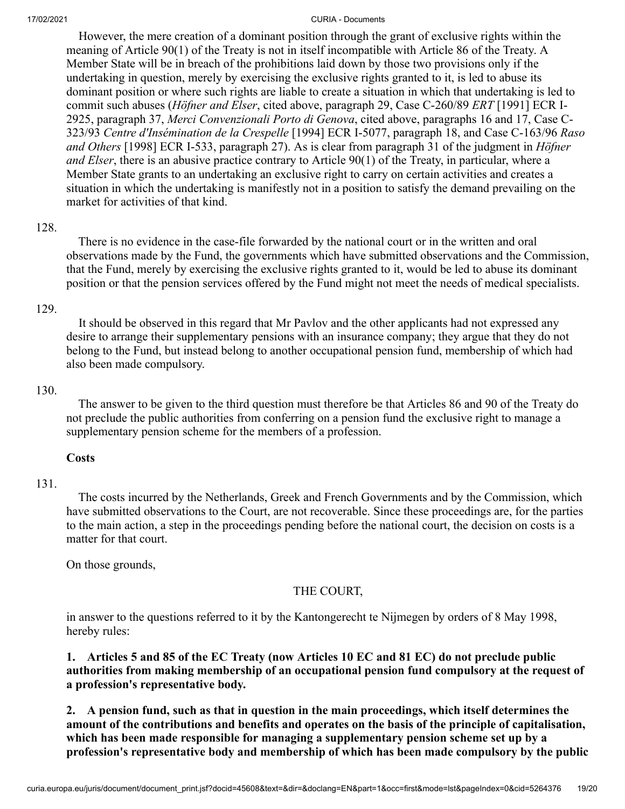However, the mere creation of a dominant position through the grant of exclusive rights within the meaning of Article 90(1) of the Treaty is not in itself incompatible with Article 86 of the Treaty. A Member State will be in breach of the prohibitions laid down by those two provisions only if the undertaking in question, merely by exercising the exclusive rights granted to it, is led to abuse its dominant position or where such rights are liable to create a situation in which that undertaking is led to commit such abuses (*Höfner and Elser*, cited above, paragraph 29, Case C-260/89 *ERT* [1991] ECR I-2925, paragraph 37, *Merci Convenzionali Porto di Genova*, cited above, paragraphs 16 and 17, Case C-323/93 *Centre d'Insémination de la Crespelle* [1994] ECR I-5077, paragraph 18, and Case C-163/96 *Raso and Others* [1998] ECR I-533, paragraph 27). As is clear from paragraph 31 of the judgment in *Höfner and Elser*, there is an abusive practice contrary to Article 90(1) of the Treaty, in particular, where a Member State grants to an undertaking an exclusive right to carry on certain activities and creates a situation in which the undertaking is manifestly not in a position to satisfy the demand prevailing on the market for activities of that kind.

### 128.

 There is no evidence in the case-file forwarded by the national court or in the written and oral observations made by the Fund, the governments which have submitted observations and the Commission, that the Fund, merely by exercising the exclusive rights granted to it, would be led to abuse its dominant position or that the pension services offered by the Fund might not meet the needs of medical specialists.

### 129.

 It should be observed in this regard that Mr Pavlov and the other applicants had not expressed any desire to arrange their supplementary pensions with an insurance company; they argue that they do not belong to the Fund, but instead belong to another occupational pension fund, membership of which had also been made compulsory.

### 130.

 The answer to be given to the third question must therefore be that Articles 86 and 90 of the Treaty do not preclude the public authorities from conferring on a pension fund the exclusive right to manage a supplementary pension scheme for the members of a profession.

## **Costs**

## 131.

 The costs incurred by the Netherlands, Greek and French Governments and by the Commission, which have submitted observations to the Court, are not recoverable. Since these proceedings are, for the parties to the main action, a step in the proceedings pending before the national court, the decision on costs is a matter for that court.

On those grounds,

# THE COURT,

in answer to the questions referred to it by the Kantongerecht te Nijmegen by orders of 8 May 1998, hereby rules:

**1. Articles 5 and 85 of the EC Treaty (now Articles 10 EC and 81 EC) do not preclude public authorities from making membership of an occupational pension fund compulsory at the request of a profession's representative body.**

**2. A pension fund, such as that in question in the main proceedings, which itself determines the amount of the contributions and benefits and operates on the basis of the principle of capitalisation, which has been made responsible for managing a supplementary pension scheme set up by a profession's representative body and membership of which has been made compulsory by the public**